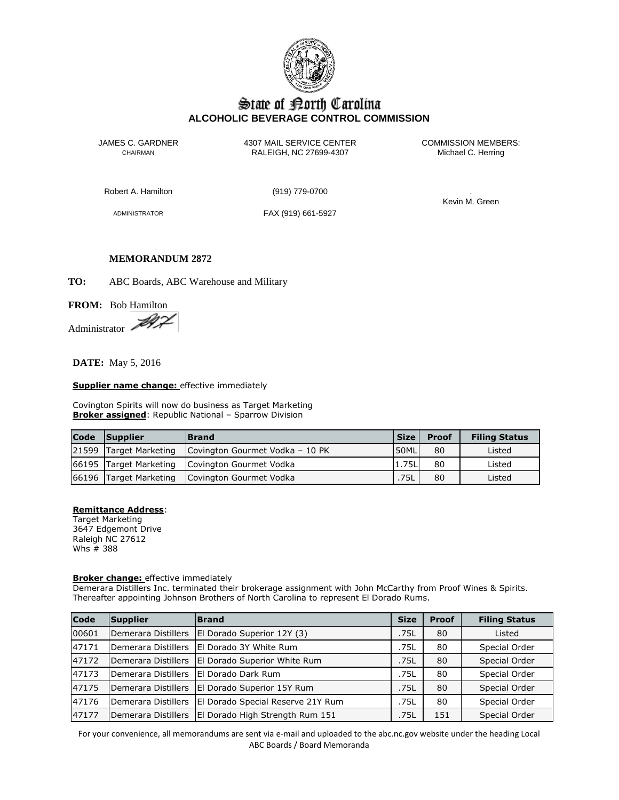

# State of Borth Carolina **ALCOHOLIC BEVERAGE CONTROL COMMISSION**

JAMES C. GARDNER 4307 MAIL SERVICE CENTER<br>CHAIRMAN CHAIRMAN RALEIGH, NC 27699-4307 Michael C. Herring CHAIRMAN RALEIGH, NC 27699-4307

Robert A. Hamilton (919) 779-0700 .

ADMINISTRATOR FAX (919) 661-5927

Kevin M. Green

#### **MEMORANDUM 2872**

**TO:** ABC Boards, ABC Warehouse and Military

# **FROM:** Bob Hamilton

Administrator

**DATE:** May 5, 2016

#### **Supplier name change:** effective immediately

Covington Spirits will now do business as Target Marketing **Broker assigned:** Republic National - Sparrow Division

| <b>Code</b> | <b>Supplier</b>        | <b>Brand</b>                    | Size l | <b>Proof</b> | <b>Filing Status</b> |
|-------------|------------------------|---------------------------------|--------|--------------|----------------------|
|             | 21599 Target Marketing | Covington Gourmet Vodka - 10 PK | 50ML   | 80           | Listed               |
|             | 66195 Target Marketing | Covington Gourmet Vodka         | 1.75L  | 80           | Listed               |
|             | 66196 Target Marketing | Covington Gourmet Vodka         | .75L   | 80           | Listed               |

# **Remittance Address**:

Target Marketing 3647 Edgemont Drive Raleigh NC 27612 Whs # 388

#### **Broker change:** effective immediately

Demerara Distillers Inc. terminated their brokerage assignment with John McCarthy from Proof Wines & Spirits. Thereafter appointing Johnson Brothers of North Carolina to represent El Dorado Rums.

| Code  | Supplier            | <b>Brand</b>                      | <b>Size</b> | <b>Proof</b> | <b>Filing Status</b> |
|-------|---------------------|-----------------------------------|-------------|--------------|----------------------|
| 00601 | Demerara Distillers | El Dorado Superior 12Y (3)        | .75L        | 80           | Listed               |
| 47171 | Demerara Distillers | El Dorado 3Y White Rum            | .75L        | 80           | Special Order        |
| 47172 | Demerara Distillers | El Dorado Superior White Rum      | .75L        | 80           | Special Order        |
| 47173 | Demerara Distillers | El Dorado Dark Rum                | .75L        | 80           | Special Order        |
| 47175 | Demerara Distillers | El Dorado Superior 15Y Rum        | .75L        | 80           | Special Order        |
| 47176 | Demerara Distillers | El Dorado Special Reserve 21Y Rum | .75L        | 80           | Special Order        |
| 47177 | Demerara Distillers | El Dorado High Strength Rum 151   | .75L        | 151          | Special Order        |

For your convenience, all memorandums are sent via e-mail and uploaded to the abc.nc.gov website under the heading Local ABC Boards / Board Memoranda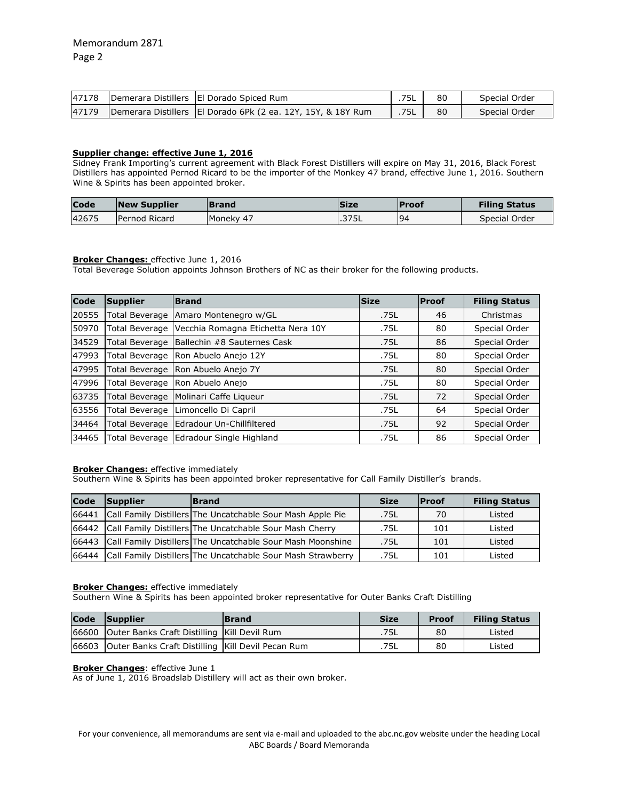| 47178 | Demerara Distillers   El Dorado Spiced Rum                     | 75L  | 80 | Special Order |
|-------|----------------------------------------------------------------|------|----|---------------|
| 47179 | Demerara Distillers   El Dorado 6Pk (2 ea. 12Y, 15Y, & 18Y Rum | .75L | 80 | Special Order |

# **Supplier change: effective June 1, 2016**

Sidney Frank Importing's current agreement with Black Forest Distillers will expire on May 31, 2016, Black Forest Distillers has appointed Pernod Ricard to be the importer of the Monkey 47 brand, effective June 1, 2016. Southern Wine & Spirits has been appointed broker.

| <b>Code</b> | <b>New Supplier</b>  | Brand     | lSize | <b>IProof</b> | <b>Filing Status</b> |
|-------------|----------------------|-----------|-------|---------------|----------------------|
| 42675       | <b>Pernod Ricard</b> | Moneky 47 | .375L | <b>94</b>     | Special Order        |

## **Broker Changes:** effective June 1, 2016

Total Beverage Solution appoints Johnson Brothers of NC as their broker for the following products.

| Code  | <b>Supplier</b> | <b>Brand</b>                       | <b>Size</b> | <b>Proof</b> | <b>Filing Status</b> |
|-------|-----------------|------------------------------------|-------------|--------------|----------------------|
| 20555 | Total Beverage  | Amaro Montenegro w/GL              | .75L        | 46           | Christmas            |
| 50970 | Total Beverage  | Vecchia Romagna Etichetta Nera 10Y | .75L        | 80           | Special Order        |
| 34529 | Total Beverage  | Ballechin #8 Sauternes Cask        | .75L        | 86           | Special Order        |
| 47993 | Total Beverage  | IRon Abuelo Aneio 12Y              | .75L        | 80           | Special Order        |
| 47995 | Total Beverage  | Ron Abuelo Anejo 7Y                | .75L        | 80           | Special Order        |
| 47996 | Total Beverage  | Ron Abuelo Anejo                   | .75L        | 80           | Special Order        |
| 63735 | Total Beverage  | Molinari Caffe Ligueur             | .75L        | 72           | Special Order        |
| 63556 | Total Beverage  | Limoncello Di Capril               | .75L        | 64           | Special Order        |
| 34464 | Total Beverage  | lEdradour Un-Chillfiltered         | .75L        | 92           | Special Order        |
| 34465 | Total Beverage  | Edradour Single Highland           | .75L        | 86           | Special Order        |

## **Broker Changes:** effective immediately

Southern Wine & Spirits has been appointed broker representative for Call Family Distiller's brands.

| Code | Supplier | <b>Brand</b>                                                      | <b>Size</b> | <b>Proof</b> | <b>Filing Status</b> |
|------|----------|-------------------------------------------------------------------|-------------|--------------|----------------------|
|      |          | 66441 Call Family Distillers The Uncatchable Sour Mash Apple Pie  | .75L        | 70           | Listed               |
|      |          | 66442 Call Family Distillers The Uncatchable Sour Mash Cherry     | .75L        | 101          | Listed               |
|      |          | 66443 Call Family Distillers The Uncatchable Sour Mash Moonshine  | .75L        | 101          | Listed               |
|      |          | 66444 Call Family Distillers The Uncatchable Sour Mash Strawberry | .75L        | 101          | Listed               |

# **Broker Changes:** effective immediately

Southern Wine & Spirits has been appointed broker representative for Outer Banks Craft Distilling

| <b>Code</b> | Supplier                                                  | <b>Brand</b> | <b>Size</b> | <b>Proof</b> | <b>Filing Status</b> |
|-------------|-----------------------------------------------------------|--------------|-------------|--------------|----------------------|
|             | 66600 Outer Banks Craft Distilling Kill Devil Rum         |              | .75L        | 80           | Listed               |
|             | 66603 Outer Banks Craft Distilling   Kill Devil Pecan Rum |              | .75L        | 80           | Listed               |

### **Broker Changes**: effective June 1

As of June 1, 2016 Broadslab Distillery will act as their own broker.